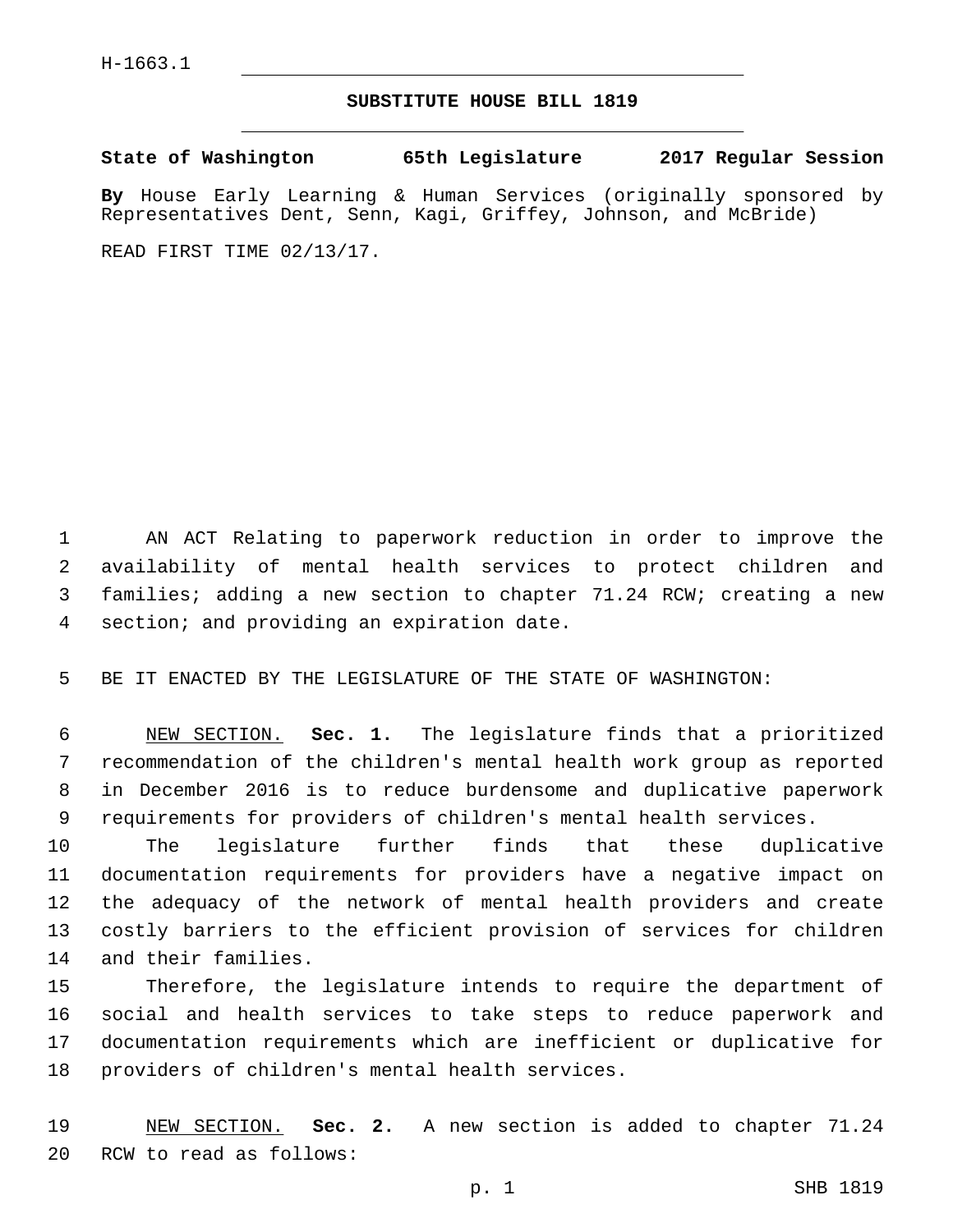## **SUBSTITUTE HOUSE BILL 1819**

**State of Washington 65th Legislature 2017 Regular Session**

**By** House Early Learning & Human Services (originally sponsored by Representatives Dent, Senn, Kagi, Griffey, Johnson, and McBride)

READ FIRST TIME 02/13/17.

 AN ACT Relating to paperwork reduction in order to improve the availability of mental health services to protect children and families; adding a new section to chapter 71.24 RCW; creating a new 4 section; and providing an expiration date.

5 BE IT ENACTED BY THE LEGISLATURE OF THE STATE OF WASHINGTON:

 NEW SECTION. **Sec. 1.** The legislature finds that a prioritized recommendation of the children's mental health work group as reported in December 2016 is to reduce burdensome and duplicative paperwork requirements for providers of children's mental health services.

 The legislature further finds that these duplicative documentation requirements for providers have a negative impact on the adequacy of the network of mental health providers and create costly barriers to the efficient provision of services for children 14 and their families.

 Therefore, the legislature intends to require the department of social and health services to take steps to reduce paperwork and documentation requirements which are inefficient or duplicative for 18 providers of children's mental health services.

19 NEW SECTION. **Sec. 2.** A new section is added to chapter 71.24 20 RCW to read as follows: